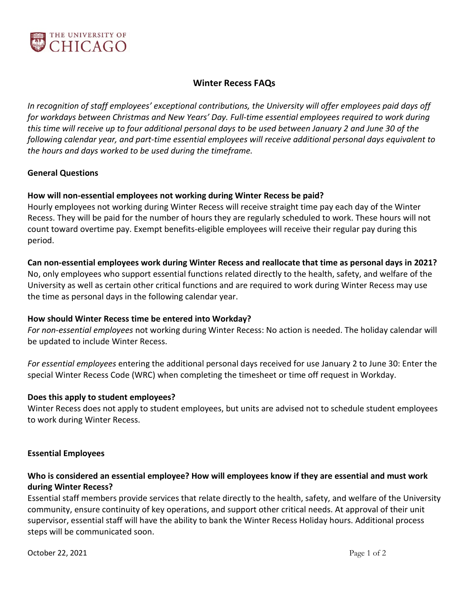

### **Winter Recess FAQs**

*In recognition of staff employees' exceptional contributions, the University will offer employees paid days off for workdays between Christmas and New Years' Day. Full-time essential employees required to work during this time will receive up to four additional personal days to be used between January 2 and June 30 of the following calendar year, and part-time essential employees will receive additional personal days equivalent to the hours and days worked to be used during the timeframe.*

#### **General Questions**

### **How will non-essential employees not working during Winter Recess be paid?**

Hourly employees not working during Winter Recess will receive straight time pay each day of the Winter Recess. They will be paid for the number of hours they are regularly scheduled to work. These hours will not count toward overtime pay. Exempt benefits-eligible employees will receive their regular pay during this period.

### **Can non-essential employees work during Winter Recess and reallocate that time as personal days in 2021?**

No, only employees who support essential functions related directly to the health, safety, and welfare of the University as well as certain other critical functions and are required to work during Winter Recess may use the time as personal days in the following calendar year.

### **How should Winter Recess time be entered into Workday?**

*For non-essential employees* not working during Winter Recess: No action is needed. The holiday calendar will be updated to include Winter Recess.

*For essential employees* entering the additional personal days received for use January 2 to June 30: Enter the special Winter Recess Code (WRC) when completing the timesheet or time off request in Workday.

#### **Does this apply to student employees?**

Winter Recess does not apply to student employees, but units are advised not to schedule student employees to work during Winter Recess.

#### **Essential Employees**

## **Who is considered an essential employee? How will employees know if they are essential and must work during Winter Recess?**

Essential staff members provide services that relate directly to the health, safety, and welfare of the University community, ensure continuity of key operations, and support other critical needs. At approval of their unit supervisor, essential staff will have the ability to bank the Winter Recess Holiday hours. Additional process steps will be communicated soon.

**October 22, 2021** Page 1 of 2